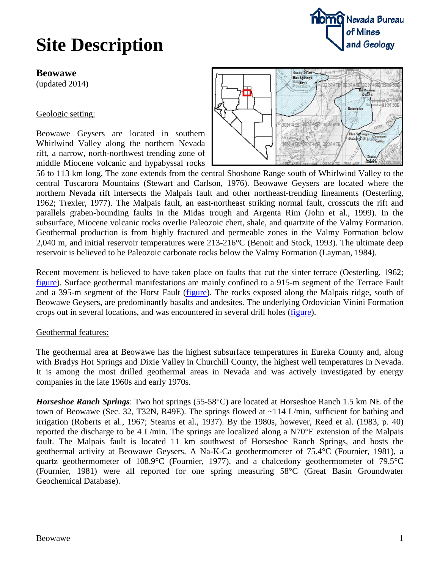#### **Beowawe**

(updated 2014)

#### Geologic setting:

Beowawe Geysers are located in southern Whirlwind Valley along the northern Nevada rift, a narrow, north-northwest trending zone of middle Miocene volcanic and hypabyssal rocks



56 to 113 km long. The zone extends from the central Shoshone Range south of Whirlwind Valley to the central Tuscarora Mountains (Stewart and Carlson, 1976). Beowawe Geysers are located where the northern Nevada rift intersects the Malpais fault and other northeast-trending lineaments (Oesterling, 1962; Trexler, 1977). The Malpais fault, an east-northeast striking normal fault, crosscuts the rift and parallels graben-bounding faults in the Midas trough and Argenta Rim (John et al., 1999). In the subsurface, Miocene volcanic rocks overlie Paleozoic chert, shale, and quartzite of the Valmy Formation. Geothermal production is from highly fractured and permeable zones in the Valmy Formation below 2,040 m, and initial reservoir temperatures were 213-216°C (Benoit and Stock, 1993). The ultimate deep reservoir is believed to be Paleozoic carbonate rocks below the Valmy Formation (Layman, 1984).

Recent movement is believed to have taken place on faults that cut the sinter terrace (Oesterling, 1962; [figure\)](http://data.nbmg.unr.edu/Public/Geothermal/Figures/Fig24.pdf). Surface geothermal manifestations are mainly confined to a 915-m segment of the Terrace Fault and a 395-m segment of the Horst Fault (*figure*). The rocks exposed along the Malpais ridge, south of Beowawe Geysers, are predominantly basalts and andesites. The underlying Ordovician Vinini Formation crops out in several locations, and was encountered in several drill holes [\(figure\)](http://data.nbmg.unr.edu/Public/Geothermal/Figures/Fig25.pdf).

### Geothermal features:

The geothermal area at Beowawe has the highest subsurface temperatures in Eureka County and, along with Bradys Hot Springs and Dixie Valley in Churchill County, the highest well temperatures in Nevada. It is among the most drilled geothermal areas in Nevada and was actively investigated by energy companies in the late 1960s and early 1970s.

*Horseshoe Ranch Springs*: Two hot springs (55-58°C) are located at Horseshoe Ranch 1.5 km NE of the town of Beowawe (Sec. 32, T32N, R49E). The springs flowed at ~114 L/min, sufficient for bathing and irrigation (Roberts et al., 1967; Stearns et al., 1937). By the 1980s, however, Reed et al. (1983, p. 40) reported the discharge to be 4 L/min. The springs are localized along a N70°E extension of the Malpais fault. The Malpais fault is located 11 km southwest of Horseshoe Ranch Springs, and hosts the geothermal activity at Beowawe Geysers. A Na-K-Ca geothermometer of 75.4°C (Fournier, 1981), a quartz geothermometer of 108.9°C (Fournier, 1977), and a chalcedony geothermometer of 79.5°C (Fournier, 1981) were all reported for one spring measuring 58°C (Great Basin Groundwater Geochemical Database).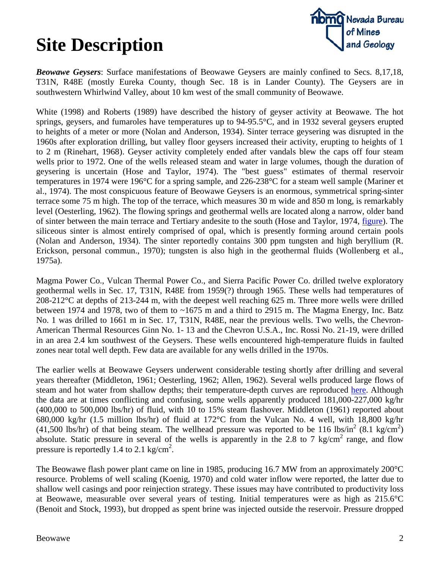

*Beowawe Geysers*: Surface manifestations of Beowawe Geysers are mainly confined to Secs. 8,17,18, T31N, R48E (mostly Eureka County, though Sec. 18 is in Lander County). The Geysers are in southwestern Whirlwind Valley, about 10 km west of the small community of Beowawe.

White (1998) and Roberts (1989) have described the history of geyser activity at Beowawe. The hot springs, geysers, and fumaroles have temperatures up to 94-95.5°C, and in 1932 several geysers erupted to heights of a meter or more (Nolan and Anderson, 1934). Sinter terrace geysering was disrupted in the 1960s after exploration drilling, but valley floor geysers increased their activity, erupting to heights of 1 to 2 m (Rinehart, 1968). Geyser activity completely ended after vandals blew the caps off four steam wells prior to 1972. One of the wells released steam and water in large volumes, though the duration of geysering is uncertain (Hose and Taylor, 1974). The "best guess" estimates of thermal reservoir temperatures in 1974 were 196°C for a spring sample, and 226-238°C for a steam well sample (Mariner et al., 1974). The most conspicuous feature of Beowawe Geysers is an enormous, symmetrical spring-sinter terrace some 75 m high. The top of the terrace, which measures 30 m wide and 850 m long, is remarkably level (Oesterling, 1962). The flowing springs and geothermal wells are located along a narrow, older band of sinter between the main terrace and Tertiary andesite to the south (Hose and Taylor, 1974, [figure\)](http://data.nbmg.unr.edu/Public/Geothermal/Figures/Fig4.pdf). The siliceous sinter is almost entirely comprised of opal, which is presently forming around certain pools (Nolan and Anderson, 1934). The sinter reportedly contains 300 ppm tungsten and high beryllium (R. Erickson, personal commun., 1970); tungsten is also high in the geothermal fluids (Wollenberg et al., 1975a).

Magma Power Co., Vulcan Thermal Power Co., and Sierra Pacific Power Co. drilled twelve exploratory geothermal wells in Sec. 17, T31N, R48E from 1959(?) through 1965. These wells had temperatures of 208-212°C at depths of 213-244 m, with the deepest well reaching 625 m. Three more wells were drilled between 1974 and 1978, two of them to ~1675 m and a third to 2915 m. The Magma Energy, Inc. Batz No. 1 was drilled to 1661 m in Sec. 17, T31N, R48E, near the previous wells. Two wells, the Chevron-American Thermal Resources Ginn No. 1- 13 and the Chevron U.S.A., Inc. Rossi No. 21-19, were drilled in an area 2.4 km southwest of the Geysers. These wells encountered high-temperature fluids in faulted zones near total well depth. Few data are available for any wells drilled in the 1970s.

The earlier wells at Beowawe Geysers underwent considerable testing shortly after drilling and several years thereafter (Middleton, 1961; Oesterling, 1962; Allen, 1962). Several wells produced large flows of steam and hot water from shallow depths; their temperature-depth curves are reproduced [here.](http://data.nbmg.unr.edu/Public/Geothermal/Figures/Fig26.pdf) Although the data are at times conflicting and confusing, some wells apparently produced 181,000-227,000 kg/hr (400,000 to 500,000 lbs/hr) of fluid, with 10 to 15% steam flashover. Middleton (1961) reported about 680,000 kg/hr (1.5 million lbs/hr) of fluid at 172°C from the Vulcan No. 4 well, with 18,800 kg/hr (41,500 lbs/hr) of that being steam. The wellhead pressure was reported to be 116 lbs/in<sup>2</sup> (8.1 kg/cm<sup>2</sup>) absolute. Static pressure in several of the wells is apparently in the 2.8 to 7 kg/cm<sup>2</sup> range, and flow pressure is reportedly 1.4 to 2.1 kg/cm<sup>2</sup>.

The Beowawe flash power plant came on line in 1985, producing 16.7 MW from an approximately 200°C resource. Problems of well scaling (Koenig, 1970) and cold water inflow were reported, the latter due to shallow well casings and poor reinjection strategy. These issues may have contributed to productivity loss at Beowawe, measurable over several years of testing. Initial temperatures were as high as 215.6°C (Benoit and Stock, 1993), but dropped as spent brine was injected outside the reservoir. Pressure dropped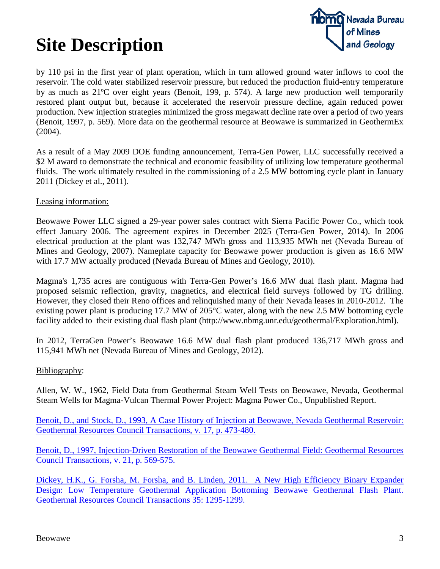

by 110 psi in the first year of plant operation, which in turn allowed ground water inflows to cool the reservoir. The cold water stabilized reservoir pressure, but reduced the production fluid-entry temperature by as much as 21ºC over eight years (Benoit, 199, p. 574). A large new production well temporarily restored plant output but, because it accelerated the reservoir pressure decline, again reduced power production. New injection strategies minimized the gross megawatt decline rate over a period of two years (Benoit, 1997, p. 569). More data on the geothermal resource at Beowawe is summarized in GeothermEx (2004).

As a result of a May 2009 DOE funding announcement, Terra-Gen Power, LLC successfully received a \$2 M award to demonstrate the technical and economic feasibility of utilizing low temperature geothermal fluids. The work ultimately resulted in the commissioning of a 2.5 MW bottoming cycle plant in January 2011 (Dickey et al., 2011).

Leasing information:

Beowawe Power LLC signed a 29-year power sales contract with Sierra Pacific Power Co., which took effect January 2006. The agreement expires in December 2025 (Terra-Gen Power, 2014). In 2006 electrical production at the plant was 132,747 MWh gross and 113,935 MWh net (Nevada Bureau of Mines and Geology, 2007). Nameplate capacity for Beowawe power production is given as 16.6 MW with 17.7 MW actually produced (Nevada Bureau of Mines and Geology, 2010).

Magma's 1,735 acres are contiguous with Terra-Gen Power's 16.6 MW dual flash plant. Magma had proposed seismic reflection, gravity, magnetics, and electrical field surveys followed by TG drilling. However, they closed their Reno offices and relinquished many of their Nevada leases in 2010-2012. The existing power plant is producing 17.7 MW of 205°C water, along with the new 2.5 MW bottoming cycle facility added to their existing dual flash plant (http://www.nbmg.unr.edu/geothermal/Exploration.html).

In 2012, TerraGen Power's Beowawe 16.6 MW dual flash plant produced 136,717 MWh gross and 115,941 MWh net (Nevada Bureau of Mines and Geology, 2012).

### Bibliography:

Allen, W. W., 1962, Field Data from Geothermal Steam Well Tests on Beowawe, Nevada, Geothermal Steam Wells for Magma-Vulcan Thermal Power Project: Magma Power Co., Unpublished Report.

[Benoit, D., and Stock, D., 1993, A Case History of Injection at Beowawe, Nevada Geothermal Reservoir:](ftp://ftp.nbmg.unr.edu/pub/geothermal/11_Documents/Benoit_InjectionBeowawe_CaseStudy_1993.pdf)  [Geothermal Resources Council Transactions, v. 17, p. 473-480.](ftp://ftp.nbmg.unr.edu/pub/geothermal/11_Documents/Benoit_InjectionBeowawe_CaseStudy_1993.pdf)

[Benoit, D., 1997, Injection-Driven Restoration of the Beowawe Geothermal Field: Geothermal Resources](ftp://ftp.nbmg.unr.edu/pub/geothermal/11_Documents/Benoit_Injection-driven_restoration_Beowawe_1997.pdf)  [Council Transactions, v. 21, p. 569-575.](ftp://ftp.nbmg.unr.edu/pub/geothermal/11_Documents/Benoit_Injection-driven_restoration_Beowawe_1997.pdf)

[Dickey, H.K., G. Forsha, M. Forsha, and B. Linden, 2011. A New High Efficiency Binary Expander](ftp://ftp.nbmg.unr.edu/pub/Geothermal/11_Documents/Dickey_BinaryExpanderDesign_2011.pdf)  [Design: Low Temperature Geothermal Application Bottoming Beowawe Geothermal Flash Plant.](ftp://ftp.nbmg.unr.edu/pub/Geothermal/11_Documents/Dickey_BinaryExpanderDesign_2011.pdf)  [Geothermal Resources Council Transactions 35: 1295-1299.](ftp://ftp.nbmg.unr.edu/pub/Geothermal/11_Documents/Dickey_BinaryExpanderDesign_2011.pdf)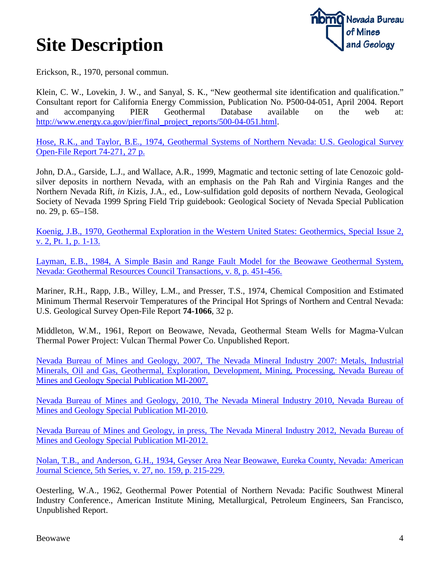

Erickson, R., 1970, personal commun.

Klein, C. W., Lovekin, J. W., and Sanyal, S. K., "New geothermal site identification and qualification." Consultant report for California Energy Commission, Publication No. P500-04-051, April 2004. Report and accompanying PIER Geothermal Database available on the web at: [http://www.energy.ca.gov/pier/final\\_project\\_reports/500-04-051.html.](http://www.energy.ca.gov/pier/final_project_reports/500-04-051.html)

[Hose, R.K., and Taylor, B.E., 1974, Geothermal Systems of Northern Nevada: U.S. Geological Survey](ftp://ftp.nbmg.unr.edu/pub/geothermal/11_Documents/Hose_NV_Geothermal_1974.pdf)  [Open-File Report 74-271, 27 p.](ftp://ftp.nbmg.unr.edu/pub/geothermal/11_Documents/Hose_NV_Geothermal_1974.pdf)

John, D.A., Garside, L.J., and Wallace, A.R., 1999, Magmatic and tectonic setting of late Cenozoic goldsilver deposits in northern Nevada, with an emphasis on the Pah Rah and Virginia Ranges and the Northern Nevada Rift, *in* Kizis, J.A., ed., Low-sulfidation gold deposits of northern Nevada, Geological Society of Nevada 1999 Spring Field Trip guidebook: Geological Society of Nevada Special Publication no. 29, p. 65–158.

[Koenig, J.B., 1970, Geothermal Exploration in the Western United States: Geothermics, Special Issue 2,](http://ac.els-cdn.com/0375650570900015/1-s2.0-0375650570900015-main.pdf?_tid=4be06496-ba84-11e3-a603-00000aacb35e&acdnat=1396456492_fad843ce86d27a39ecb2b086498307b8)  [v. 2, Pt. 1, p. 1-13.](http://ac.els-cdn.com/0375650570900015/1-s2.0-0375650570900015-main.pdf?_tid=4be06496-ba84-11e3-a603-00000aacb35e&acdnat=1396456492_fad843ce86d27a39ecb2b086498307b8)

[Layman, E.B., 1984, A Simple Basin and Range Fault Model for the Beowawe Geothermal System,](http://pubs.geothermal-library.org/lib/grc/1001216.pdf)  [Nevada: Geothermal Resources Council Transactions, v. 8, p. 451-456.](http://pubs.geothermal-library.org/lib/grc/1001216.pdf)

Mariner, R.H., Rapp, J.B., Willey, L.M., and Presser, T.S., 1974, Chemical Composition and Estimated Minimum Thermal Reservoir Temperatures of the Principal Hot Springs of Northern and Central Nevada: U.S. Geological Survey Open-File Report **74-1066**, 32 p.

Middleton, W.M., 1961, Report on Beowawe, Nevada, Geothermal Steam Wells for Magma-Vulcan Thermal Power Project: Vulcan Thermal Power Co. Unpublished Report.

[Nevada Bureau of Mines and Geology, 2007, The Nevada Mineral Industry 2007: Metals, Industrial](http://pubs.nbmg.unr.edu/The-NV-mineral-industry-2007-p/mi2007.htm)  [Minerals, Oil and Gas, Geothermal, Exploration, Development, Mining, Processing, Nevada Bureau of](http://pubs.nbmg.unr.edu/The-NV-mineral-industry-2007-p/mi2007.htm)  [Mines and Geology Special Publication MI-2007.](http://pubs.nbmg.unr.edu/The-NV-mineral-industry-2007-p/mi2007.htm)

[Nevada Bureau of Mines and Geology, 2010, The Nevada Mineral Industry 2010, Nevada Bureau of](http://pubs.nbmg.unr.edu/The-NV-mineral-industry-2010-p/mi2010.htm)  [Mines and Geology Special Publication MI-2010.](http://pubs.nbmg.unr.edu/The-NV-mineral-industry-2010-p/mi2010.htm)

[Nevada Bureau of Mines and Geology, in press, The Nevada Mineral Industry 2012, Nevada Bureau of](http://www.nbmg.unr.edu/dox/mi/12.pdf)  Mines [and Geology Special Publication MI-2012.](http://www.nbmg.unr.edu/dox/mi/12.pdf)

[Nolan, T.B., and Anderson, G.H., 1934, Geyser Area Near Beowawe, Eureka County, Nevada: American](http://www.ajsonline.org/content/s5-27/159/215.full.pdf)  [Journal Science, 5th Series, v. 27, no. 159, p. 215-229.](http://www.ajsonline.org/content/s5-27/159/215.full.pdf)

Oesterling, W.A., 1962, Geothermal Power Potential of Northern Nevada: Pacific Southwest Mineral Industry Conference., American Institute Mining, Metallurgical, Petroleum Engineers, San Francisco, Unpublished Report.